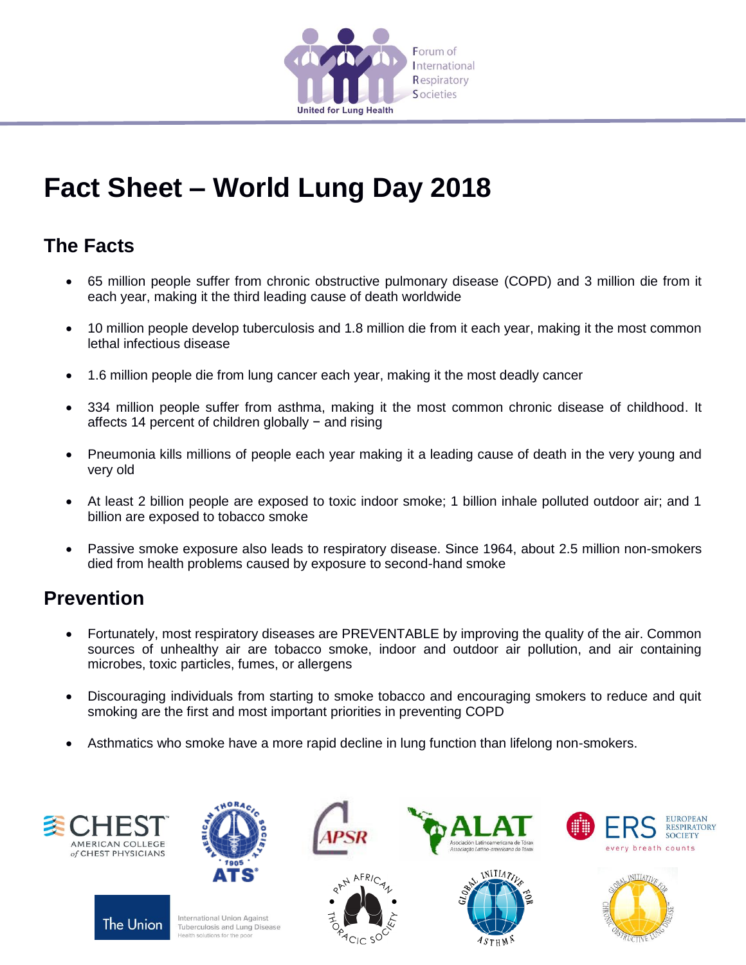

## **Fact Sheet – World Lung Day 2018**

## **The Facts**

- 65 million people suffer from chronic obstructive pulmonary disease (COPD) and 3 million die from it each year, making it the third leading cause of death worldwide
- 10 million people develop tuberculosis and 1.8 million die from it each year, making it the most common lethal infectious disease
- 1.6 million people die from lung cancer each year, making it the most deadly cancer
- 334 million people suffer from asthma, making it the most common chronic disease of childhood. It affects 14 percent of children globally − and rising
- Pneumonia kills millions of people each year making it a leading cause of death in the very young and very old
- At least 2 billion people are exposed to toxic indoor smoke; 1 billion inhale polluted outdoor air; and 1 billion are exposed to tobacco smoke
- Passive smoke exposure also leads to respiratory disease. Since 1964, about 2.5 million non-smokers died from health problems caused by exposure to second-hand smoke

## **Prevention**

- Fortunately, most respiratory diseases are PREVENTABLE by improving the quality of the air. Common sources of unhealthy air are tobacco smoke, indoor and outdoor air pollution, and air containing microbes, toxic particles, fumes, or allergens
- Discouraging individuals from starting to smoke tobacco and encouraging smokers to reduce and quit smoking are the first and most important priorities in preventing COPD
- Asthmatics who smoke have a more rapid decline in lung function than lifelong non-smokers.







International Union Against Tuberculosis and Lung Disease ealth solutions for the po